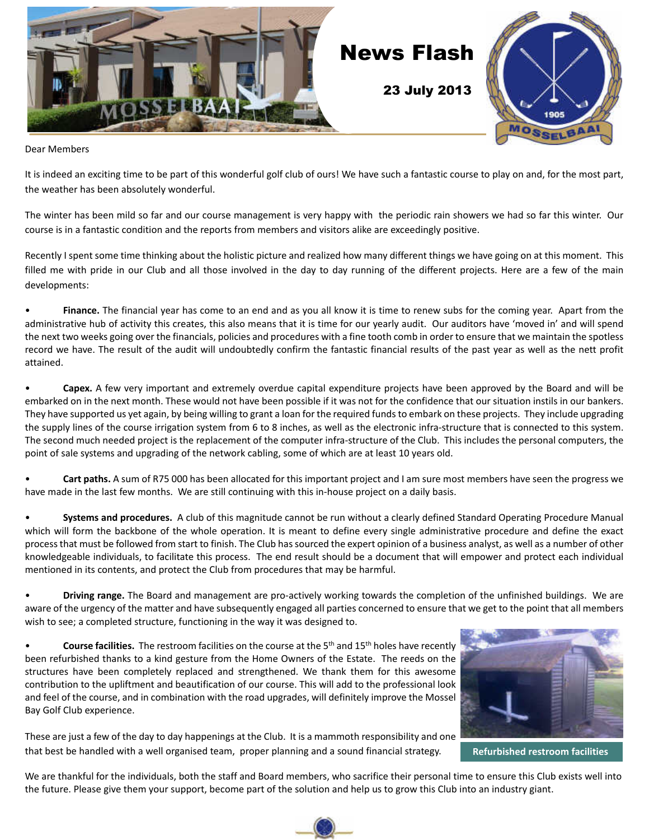

Dear Members

It is indeed an exciting time to be part of this wonderful golf club of ours! We have such a fantastic course to play on and, for the most part, the weather has been absolutely wonderful.

The winter has been mild so far and our course management is very happy with the periodic rain showers we had so far this winter. Our course is in a fantastic condition and the reports from members and visitors alike are exceedingly positive.

Recently I spent some time thinking about the holistic picture and realized how many different things we have going on at this moment. This filled me with pride in our Club and all those involved in the day to day running of the different projects. Here are a few of the main developments:

• **Finance.** The financial year has come to an end and as you all know it is time to renew subs for the coming year. Apart from the administrative hub of activity this creates, this also means that it is time for our yearly audit. Our auditors have 'moved in' and will spend the next two weeks going over the financials, policies and procedures with a fine tooth comb in order to ensure that we maintain the spotless record we have. The result of the audit will undoubtedly confirm the fantastic financial results of the past year as well as the nett profit attained.

• **Capex.** A few very important and extremely overdue capital expenditure projects have been approved by the Board and will be embarked on in the next month. These would not have been possible if it was not for the confidence that our situation instils in our bankers. They have supported us yet again, by being willing to grant a loan for the required funds to embark on these projects. They include upgrading the supply lines of the course irrigation system from 6 to 8 inches, as well as the electronic infra-structure that is connected to this system. The second much needed project is the replacement of the computer infra-structure of the Club. This includes the personal computers, the point of sale systems and upgrading of the network cabling, some of which are at least 10 years old.

Cart paths. A sum of R75 000 has been allocated for this important project and I am sure most members have seen the progress we have made in the last few months. We are still continuing with this in-house project on a daily basis.

• **Systems and procedures.** A club of this magnitude cannot be run without a clearly defined Standard Operating Procedure Manual which will form the backbone of the whole operation. It is meant to define every single administrative procedure and define the exact process that must be followed from start to finish. The Club has sourced the expert opinion of a business analyst, as well as a number of other knowledgeable individuals, to facilitate this process. The end result should be a document that will empower and protect each individual mentioned in its contents, and protect the Club from procedures that may be harmful.

• **Driving range.** The Board and management are pro-actively working towards the completion of the unfinished buildings. We are aware of the urgency of the matter and have subsequently engaged all parties concerned to ensure that we get to the point that all members wish to see; a completed structure, functioning in the way it was designed to.

• **Course facilities.** The restroom facilities on the course at the 5th and 15th holes have recently been refurbished thanks to a kind gesture from the Home Owners of the Estate. The reeds on the structures have been completely replaced and strengthened. We thank them for this awesome contribution to the upliftment and beautification of our course. This will add to the professional look and feel of the course, and in combination with the road upgrades, will definitely improve the Mossel Bay Golf Club experience.



These are just a few of the day to day happenings at the Club. It is a mammoth responsibility and one that best be handled with a well organised team, proper planning and a sound financial strategy. **Refurbished restroom facilities**

We are thankful for the individuals, both the staff and Board members, who sacrifice their personal time to ensure this Club exists well into the future. Please give them your support, become part of the solution and help us to grow this Club into an industry giant.

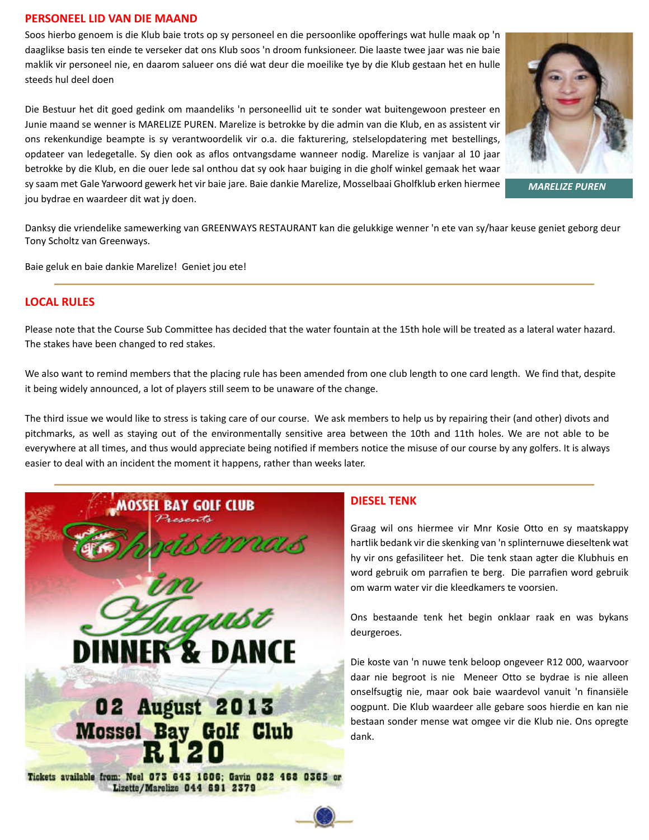#### **PERSONEEL LID VAN DIE MAAND**

Soos hierbo genoem is die Klub baie trots op sy personeel en die persoonlike opofferings wat hulle maak op 'n daaglikse basis ten einde te verseker dat ons Klub soos 'n droom funksioneer. Die laaste twee jaar was nie baie maklik vir personeel nie, en daarom salueer ons dié wat deur die moeilike tye by die Klub gestaan het en hulle steeds hul deel doen

Die Bestuur het dit goed gedink om maandeliks 'n personeellid uit te sonder wat buitengewoon presteer en Junie maand se wenner is MARELIZE PUREN. Marelize is betrokke by die admin van die Klub, en as assistent vir ons rekenkundige beampte is sy verantwoordelik vir o.a. die fakturering, stelselopdatering met bestellings, opdateer van ledegetalle. Sy dien ook as aflos ontvangsdame wanneer nodig. Marelize is vanjaar al 10 jaar betrokke by die Klub, en die ouer lede sal onthou dat sy ook haar buiging in die gholf winkel gemaak het waar sy saam met Gale Yarwoord gewerk het vir baie jare. Baie dankie Marelize, Mosselbaai Gholfklub erken hiermee jou bydrae en waardeer dit wat jy doen.



*MARELIZE PUREN*

Danksy die vriendelike samewerking van GREENWAYS RESTAURANT kan die gelukkige wenner 'n ete van sy/haar keuse geniet geborg deur Tony Scholtz van Greenways.

Baie geluk en baie dankie Marelize! Geniet jou ete!

#### **LOCAL RULES**

Please note that the Course Sub Committee has decided that the water fountain at the 15th hole will be treated as a lateral water hazard. The stakes have been changed to red stakes.

We also want to remind members that the placing rule has been amended from one club length to one card length. We find that, despite it being widely announced, a lot of players still seem to be unaware of the change.

The third issue we would like to stress is taking care of our course. We ask members to help us by repairing their (and other) divots and pitchmarks, as well as staying out of the environmentally sensitive area between the 10th and 11th holes. We are not able to be everywhere at all times, and thus would appreciate being notified if members notice the misuse of our course by any golfers. It is always easier to deal with an incident the moment it happens, rather than weeks later.



#### **DIESEL TENK**

Graag wil ons hiermee vir Mnr Kosie Otto en sy maatskappy hartlik bedank vir die skenking van 'n splinternuwe dieseltenk wat hy vir ons gefasiliteer het. Die tenk staan agter die Klubhuis en word gebruik om parrafien te berg. Die parrafien word gebruik om warm water vir die kleedkamers te voorsien.

Ons bestaande tenk het begin onklaar raak en was bykans deurgeroes.

Die koste van 'n nuwe tenk beloop ongeveer R12 000, waarvoor daar nie begroot is nie Meneer Otto se bydrae is nie alleen onselfsugtig nie, maar ook baie waardevol vanuit 'n finansiële oogpunt. Die Klub waardeer alle gebare soos hierdie en kan nie bestaan sonder mense wat omgee vir die Klub nie. Ons opregte dank.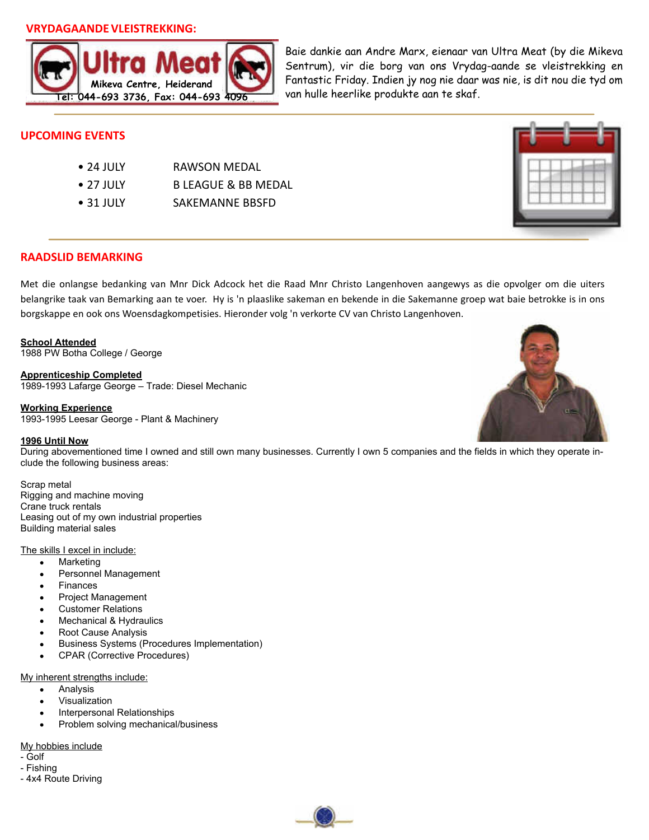### **VRYDAGAANDE VLEISTREKKING:**



Baie dankie aan Andre Marx, eienaar van Ultra Meat (by die Mikeva Sentrum), vir die borg van ons Vrydag-aande se vleistrekking en Fantastic Friday. Indien jy nog nie daar was nie, is dit nou die tyd om van hulle heerlike produkte aan te skaf.

## **UPCOMING EVENTS**

| RAWSON MEDAL                   |
|--------------------------------|
| <b>B LEAGUE &amp; BB MEDAL</b> |
| SAKEMANNE BBSFD                |
|                                |



## **RAADSLID BEMARKING**

Met die onlangse bedanking van Mnr Dick Adcock het die Raad Mnr Christo Langenhoven aangewys as die opvolger om die uiters belangrike taak van Bemarking aan te voer. Hy is 'n plaaslike sakeman en bekende in die Sakemanne groep wat baie betrokke is in ons borgskappe en ook ons Woensdagkompetisies. Hieronder volg 'n verkorte CV van Christo Langenhoven.

**School Attended** 1988 PW Botha College / George

**Apprenticeship Completed** 1989-1993 Lafarge George – Trade: Diesel Mechanic

#### **Working Experience**

1993-1995 Leesar George - Plant & Machinery

#### **1996 Until Now**

During abovementioned time I owned and still own many businesses. Currently I own 5 companies and the fields in which they operate include the following business areas:

#### Scrap metal

Rigging and machine moving Crane truck rentals Leasing out of my own industrial properties Building material sales

#### The skills I excel in include:

- $\bullet$ Marketing
- Personnel Management
- Finances
- Project Management
- Customer Relations
- Mechanical & Hydraulics
- Root Cause Analysis
- Business Systems (Procedures Implementation)
- CPAR (Corrective Procedures)  $\bullet$

#### My inherent strengths include:

- Analysis  $\bullet$
- Visualization
- Interpersonal Relationships
- Problem solving mechanical/business

#### My hobbies include

- Golf
- Fishing - 4x4 Route Driving



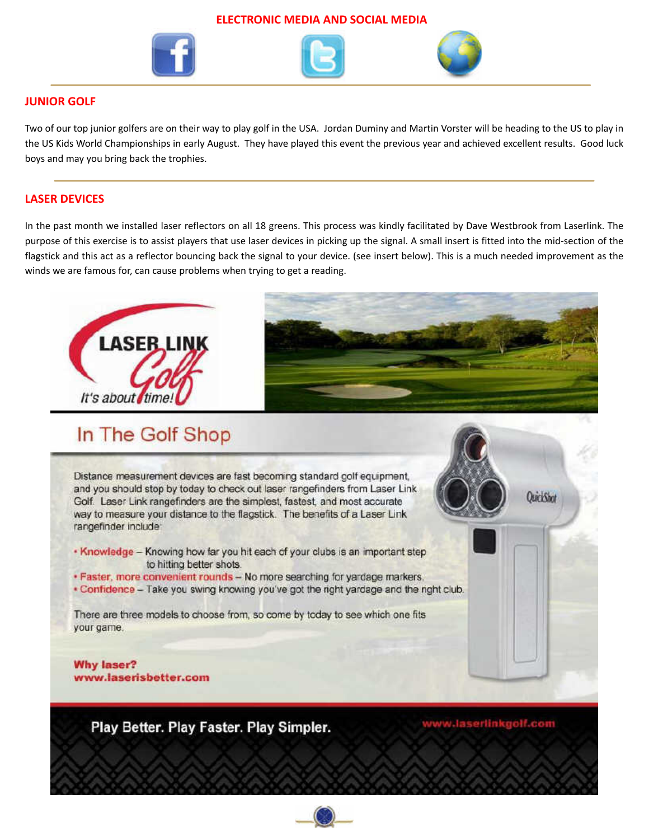#### **ELECTRONIC MEDIA AND SOCIAL MEDIA**







## **JUNIOR GOLF**

Two of our top junior golfers are on their way to play golf in the USA. Jordan Duminy and Martin Vorster will be heading to the US to play in the US Kids World Championships in early August. They have played this event the previous year and achieved excellent results. Good luck boys and may you bring back the trophies.

## **LASER DEVICES**

In the past month we installed laser reflectors on all 18 greens. This process was kindly facilitated by Dave Westbrook from Laserlink. The purpose of this exercise is to assist players that use laser devices in picking up the signal. A small insert is fitted into the mid-section of the flagstick and this act as a reflector bouncing back the signal to your device. (see insert below). This is a much needed improvement as the winds we are famous for, can cause problems when trying to get a reading.



## In The Golf Shop

Distance measurement devices are fast becoming standard golf equipment, and you should stop by today to check out laser rangefinders from Laser Link. Golf. Laser Link rangefinders are the simplest, fastest, and most accurate way to measure your distance to the flagstick. The benefits of a Laser Link rangefinder include:

- . Knowledge Knowing how far you hit each of your clubs is an important step to hitting better shots.
- · Faster, more convenient rounds No more searching for yardage markers.
- . Confidence Take you swing knowing you've got the right yardage and the right club.

There are three models to choose from, so come by today to see which one fits your game.

**Why laser?** www.laserisbetter.com

Play Better. Play Faster. Play Simpler.

www.laserlinkgolf.com

**QuickShot** 

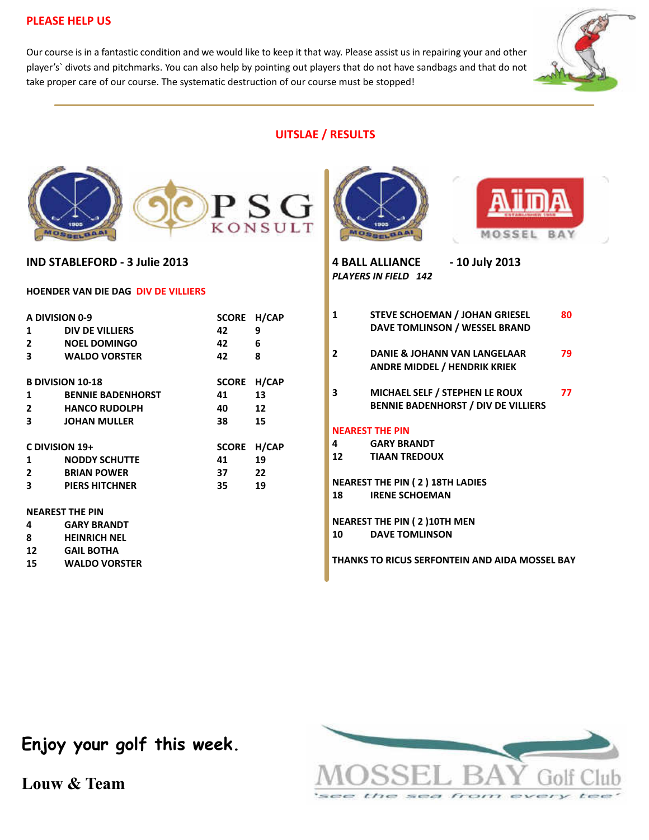## **PLEASE HELP US**

Our course is in a fantastic condition and we would like to keep it that way. Please assist us in repairing your and other player's` divots and pitchmarks. You can also help by pointing out players that do not have sandbags and that do not take proper care of our course. The systematic destruction of our course must be stopped!



## **UITSLAE / RESULTS**





**IND STABLEFORD - 3 Julie 2013**

#### **HOENDER VAN DIE DAG DIV DE VILLIERS**

| A DIVISION 0-9          |                          | <b>SCORE</b> | H/CAP |  |
|-------------------------|--------------------------|--------------|-------|--|
| 1                       | DIV DE VILLIERS          | 42           | 9     |  |
| 2                       | <b>NOEL DOMINGO</b>      | 42           | 6     |  |
| 3                       | <b>WALDO VORSTER</b>     | 42           | 8     |  |
|                         |                          |              |       |  |
| <b>B DIVISION 10-18</b> |                          | <b>SCORE</b> | H/CAP |  |
| 1                       | <b>BENNIE BADENHORST</b> | 41           | 13    |  |
| $\mathbf{2}$            | <b>HANCO RUDOLPH</b>     | 40           | 12    |  |
| 3                       | <b>JOHAN MULLER</b>      | 38           | 15    |  |
| C DIVISION 19+          |                          | <b>SCORE</b> | H/CAP |  |
| 1                       | <b>NODDY SCHUTTE</b>     | 41           | 19    |  |
| $\mathbf{2}$            | <b>BRIAN POWER</b>       | 37           | 22    |  |
| 3                       | <b>PIERS HITCHNER</b>    | 35           | 19    |  |
| <b>NEAREST THE PIN</b>  |                          |              |       |  |
|                         |                          |              |       |  |
| 4                       | <b>GARY BRANDT</b>       |              |       |  |
| 8                       | <b>HEINRICH NEL</b>      |              |       |  |



**15 WALDO VORSTER**





**4 BALL ALLIANCE - 10 July 2013** *PLAYERS IN FIELD 142*

| 1                                                                     | <b>STEVE SCHOEMAN / JOHAN GRIESEL</b><br>DAVE TOMLINSON / WESSEL BRAND       | 80 |  |  |  |
|-----------------------------------------------------------------------|------------------------------------------------------------------------------|----|--|--|--|
| $\mathbf{2}$                                                          | DANIE & JOHANN VAN LANGELAAR<br><b>ANDRE MIDDEL / HENDRIK KRIEK</b>          | 79 |  |  |  |
| 3                                                                     | MICHAEL SELF / STEPHEN LE ROUX<br><b>BENNIE BADENHORST / DIV DE VILLIERS</b> | 77 |  |  |  |
| <b>NEAREST THE PIN</b>                                                |                                                                              |    |  |  |  |
| 4                                                                     | <b>GARY BRANDT</b>                                                           |    |  |  |  |
| 12                                                                    | <b>TIAAN TREDOUX</b>                                                         |    |  |  |  |
| <b>NEAREST THE PIN (2) 18TH LADIES</b><br><b>IRENE SCHOEMAN</b><br>18 |                                                                              |    |  |  |  |
|                                                                       |                                                                              |    |  |  |  |

**NEAREST THE PIN ( 2 )10TH MEN 10 DAVE TOMLINSON**

**THANKS TO RICUS SERFONTEIN AND AIDA MOSSEL BAY**



**Enjoy your golf this week.**

**Louw & Team**